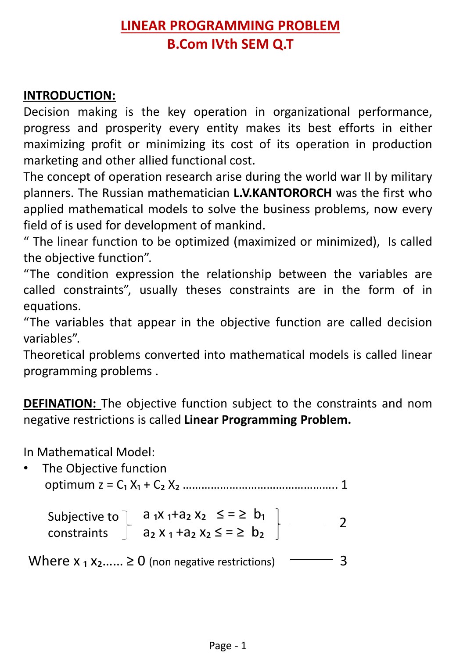## **LINEAR PROGRAMMING PROBLEM B.Com IVth SEM Q.T**

## **INTRODUCTION:**

Decision making is the key operation in organizational performance, progress and prosperity every entity makes its best efforts in either maximizing profit or minimizing its cost of its operation in production marketing and other allied functional cost.

The concept of operation research arise during the world war II by military planners. The Russian mathematician **L.V.KANTORORCH** was the first who applied mathematical models to solve the business problems, now every field of is used for development of mankind.

" The linear function to be optimized (maximized or minimized), Is called the objective function".

"The condition expression the relationship between the variables are called constraints", usually theses constraints are in the form of in equations.

"The variables that appear in the objective function are called decision variables".

Theoretical problems converted into mathematical models is called linear programming problems .

**DEFINATION:** The objective function subject to the constraints and nom negative restrictions is called **Linear Programming Problem.** 

In Mathematical Model:

The Objective function optimum z = C₁ X₁ + C₂ X₂ ………………………………………….. 1

 Subjective to constraints a <sub>1</sub>x <sub>1</sub>+a<sub>2</sub> x<sub>2</sub>  $\leq$  =  $\geq$  b<sub>1</sub>  $a_1x_1 \cdot a_2 x_2 = -2$   $b_1$   $\longrightarrow$  2<br> $a_2 x_1 + a_2 x_2 \le -2$   $b_2$ 

Where  $x_1 x_2 ... \ge 0$  (non negative restrictions)  $\sim$  3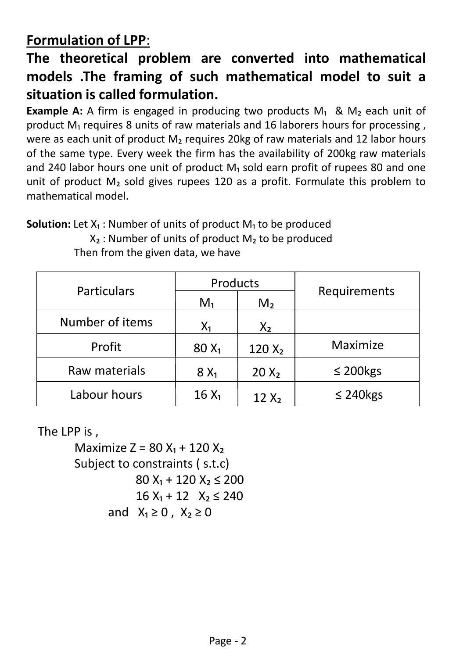## **Formulation of LPP**:

## **The theoretical problem are converted into mathematical models .The framing of such mathematical model to suit a situation is called formulation.**

**Example A:** A firm is engaged in producing two products M<sub>1</sub> & M<sub>2</sub> each unit of product M<sub>1</sub> requires 8 units of raw materials and 16 laborers hours for processing, were as each unit of product M<sub>2</sub> requires 20kg of raw materials and 12 labor hours of the same type. Every week the firm has the availability of 200kg raw materials and 240 labor hours one unit of product  $M<sub>1</sub>$  sold earn profit of rupees 80 and one unit of product  $M<sub>2</sub>$  sold gives rupees 120 as a profit. Formulate this problem to mathematical model.

**Solution:** Let  $X_1$ : Number of units of product  $M_1$  to be produced  $X_2$ : Number of units of product  $M_2$  to be produced

| Particulars     | Products |                |                |
|-----------------|----------|----------------|----------------|
|                 | $M_1$    | M <sub>2</sub> | Requirements   |
| Number of items | $X_1$    | $X_2$          |                |
| Profit          | $80 X_1$ | $120 X_2$      | Maximize       |
| Raw materials   | $8X_1$   | $20 X_2$       | $\leq$ 200 kgs |
| Labour hours    | $16 X_1$ | $12 X_2$       | $\leq$ 240 kgs |

Then from the given data, we have

The LPP is ,

Maximize  $Z = 80 X_1 + 120 X_2$  Subject to constraints ( s.t.c)  $80 X_1 + 120 X_2 \le 200$  $16 X_1 + 12 X_2 \le 240$ and  $X_1 \geq 0$ ,  $X_2 \geq 0$